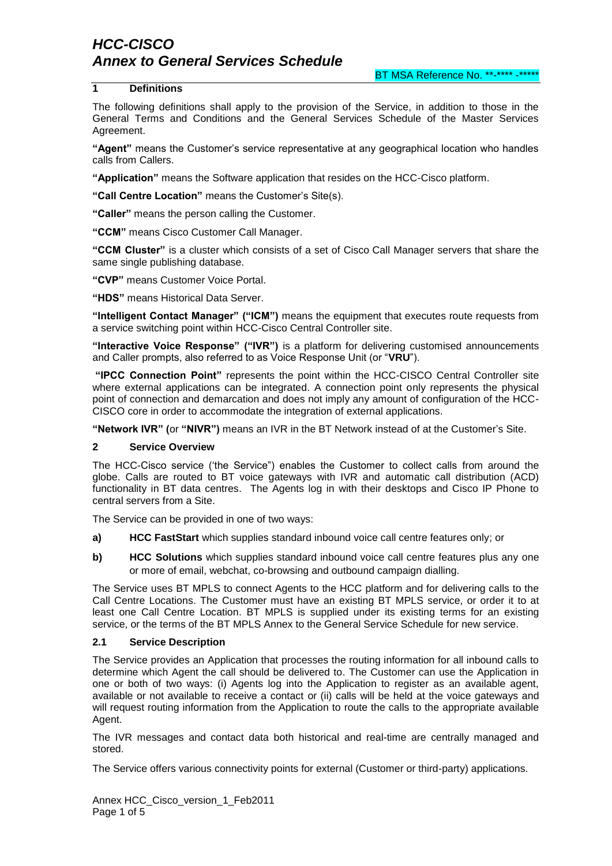### **1 Definitions**

The following definitions shall apply to the provision of the Service, in addition to those in the General Terms and Conditions and the General Services Schedule of the Master Services Agreement.

**"Agent"** means the Customer"s service representative at any geographical location who handles calls from Callers.

**"Application"** means the Software application that resides on the HCC-Cisco platform.

**"Call Centre Location"** means the Customer"s Site(s).

**"Caller"** means the person calling the Customer.

**"CCM"** means Cisco Customer Call Manager.

**"CCM Cluster"** is a cluster which consists of a set of Cisco Call Manager servers that share the same single publishing database.

**"CVP"** means Customer Voice Portal.

**"HDS"** means Historical Data Server.

**"Intelligent Contact Manager" ("ICM")** means the equipment that executes route requests from a service switching point within HCC-Cisco Central Controller site.

**"Interactive Voice Response" ("IVR")** is a platform for delivering customised announcements and Caller prompts, also referred to as Voice Response Unit (or "**VRU**").

**"IPCC Connection Point"** represents the point within the HCC-CISCO Central Controller site where external applications can be integrated. A connection point only represents the physical point of connection and demarcation and does not imply any amount of configuration of the HCC-CISCO core in order to accommodate the integration of external applications.

**"Network IVR" (**or **"NIVR")** means an IVR in the BT Network instead of at the Customer"s Site.

#### **2 Service Overview**

The HCC-Cisco service ("the Service") enables the Customer to collect calls from around the globe. Calls are routed to BT voice gateways with IVR and automatic call distribution (ACD) functionality in BT data centres. The Agents log in with their desktops and Cisco IP Phone to central servers from a Site.

The Service can be provided in one of two ways:

- **a) HCC FastStart** which supplies standard inbound voice call centre features only; or
- **b) HCC Solutions** which supplies standard inbound voice call centre features plus any one or more of email, webchat, co-browsing and outbound campaign dialling.

The Service uses BT MPLS to connect Agents to the HCC platform and for delivering calls to the Call Centre Locations. The Customer must have an existing BT MPLS service, or order it to at least one Call Centre Location. BT MPLS is supplied under its existing terms for an existing service, or the terms of the BT MPLS Annex to the General Service Schedule for new service.

#### **2.1 Service Description**

The Service provides an Application that processes the routing information for all inbound calls to determine which Agent the call should be delivered to. The Customer can use the Application in one or both of two ways: (i) Agents log into the Application to register as an available agent, available or not available to receive a contact or (ii) calls will be held at the voice gateways and will request routing information from the Application to route the calls to the appropriate available Agent.

The IVR messages and contact data both historical and real-time are centrally managed and stored.

The Service offers various connectivity points for external (Customer or third-party) applications.

Annex HCC\_Cisco\_version\_1\_Feb2011 Page 1 of 5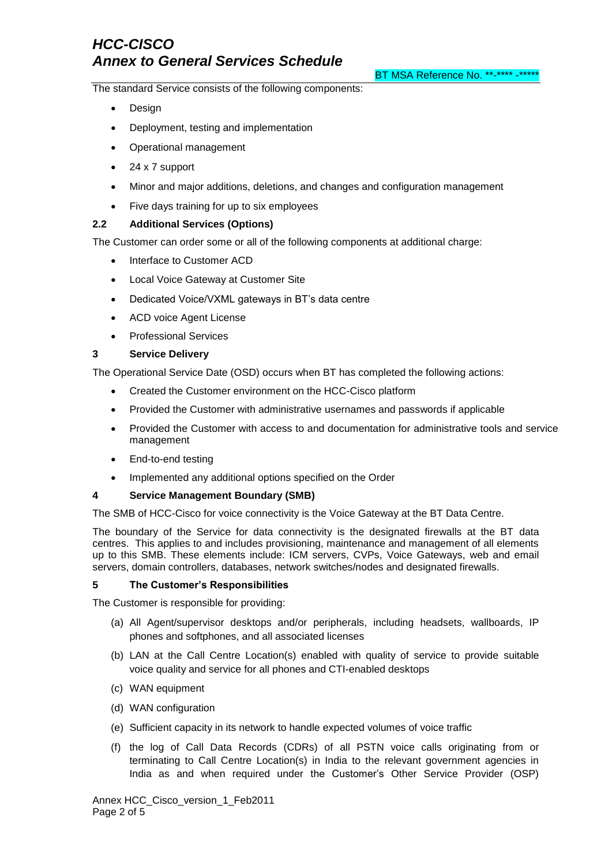BT MSA Reference No. \*\*-\*\*\*\* -\*\*\*\*\*

The standard Service consists of the following components:

- Design
- Deployment, testing and implementation
- Operational management
- 24 x 7 support
- Minor and major additions, deletions, and changes and configuration management
- Five days training for up to six employees

### **2.2 Additional Services (Options)**

The Customer can order some or all of the following components at additional charge:

- Interface to Customer ACD
- Local Voice Gateway at Customer Site
- Dedicated Voice/VXML gateways in BT"s data centre
- ACD voice Agent License
- Professional Services

### **3 Service Delivery**

The Operational Service Date (OSD) occurs when BT has completed the following actions:

- Created the Customer environment on the HCC-Cisco platform
- Provided the Customer with administrative usernames and passwords if applicable
- Provided the Customer with access to and documentation for administrative tools and service management
- End-to-end testing
- Implemented any additional options specified on the Order

#### **4 Service Management Boundary (SMB)**

The SMB of HCC-Cisco for voice connectivity is the Voice Gateway at the BT Data Centre.

The boundary of the Service for data connectivity is the designated firewalls at the BT data centres. This applies to and includes provisioning, maintenance and management of all elements up to this SMB. These elements include: ICM servers, CVPs, Voice Gateways, web and email servers, domain controllers, databases, network switches/nodes and designated firewalls.

#### **5 The Customer's Responsibilities**

The Customer is responsible for providing:

- (a) All Agent/supervisor desktops and/or peripherals, including headsets, wallboards, IP phones and softphones, and all associated licenses
- (b) LAN at the Call Centre Location(s) enabled with quality of service to provide suitable voice quality and service for all phones and CTI-enabled desktops
- (c) WAN equipment
- (d) WAN configuration
- (e) Sufficient capacity in its network to handle expected volumes of voice traffic
- (f) the log of Call Data Records (CDRs) of all PSTN voice calls originating from or terminating to Call Centre Location(s) in India to the relevant government agencies in India as and when required under the Customer"s Other Service Provider (OSP)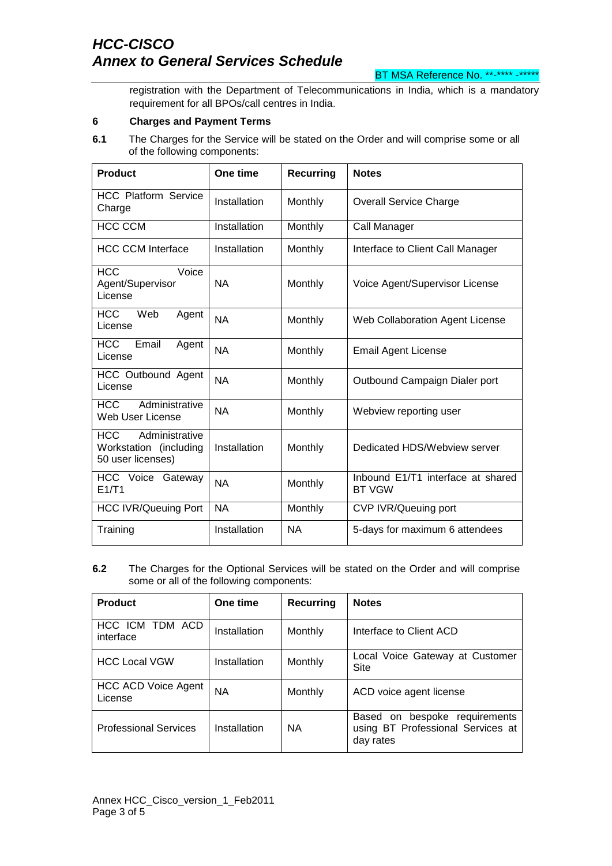BT MSA Reference No. \*\*-\*\*\*\* -\*\*\*\*\*

registration with the Department of Telecommunications in India, which is a mandatory requirement for all BPOs/call centres in India.

#### **6 Charges and Payment Terms**

**6.1** The Charges for the Service will be stated on the Order and will comprise some or all of the following components:

| <b>Product</b>                                                              | One time     | <b>Recurring</b> | <b>Notes</b>                                       |
|-----------------------------------------------------------------------------|--------------|------------------|----------------------------------------------------|
| <b>HCC Platform Service</b><br>Charge                                       | Installation | Monthly          | <b>Overall Service Charge</b>                      |
| <b>HCC CCM</b>                                                              | Installation | Monthly          | Call Manager                                       |
| <b>HCC CCM Interface</b>                                                    | Installation | Monthly          | Interface to Client Call Manager                   |
| <b>HCC</b><br>Voice<br>Agent/Supervisor<br>License                          | <b>NA</b>    | Monthly          | Voice Agent/Supervisor License                     |
| <b>HCC</b><br>Web<br>Agent<br>License                                       | <b>NA</b>    | Monthly          | Web Collaboration Agent License                    |
| <b>HCC</b><br>Email<br>Agent<br>License                                     | <b>NA</b>    | Monthly          | <b>Email Agent License</b>                         |
| <b>HCC Outbound Agent</b><br>License                                        | <b>NA</b>    | Monthly          | Outbound Campaign Dialer port                      |
| Administrative<br><b>HCC</b><br>Web User License                            | <b>NA</b>    | Monthly          | Webview reporting user                             |
| Administrative<br><b>HCC</b><br>Workstation (including<br>50 user licenses) | Installation | Monthly          | Dedicated HDS/Webview server                       |
| HCC Voice Gateway<br>E1/T1                                                  | <b>NA</b>    | Monthly          | Inbound E1/T1 interface at shared<br><b>BT VGW</b> |
| <b>HCC IVR/Queuing Port</b>                                                 | <b>NA</b>    | Monthly          | <b>CVP IVR/Queuing port</b>                        |
| Training                                                                    | Installation | <b>NA</b>        | 5-days for maximum 6 attendees                     |

**6.2** The Charges for the Optional Services will be stated on the Order and will comprise some or all of the following components:

| <b>Product</b>                 | One time     | Recurring | <b>Notes</b>                                                                    |
|--------------------------------|--------------|-----------|---------------------------------------------------------------------------------|
| HCC ICM TDM ACD<br>interface   | Installation | Monthly   | Interface to Client ACD                                                         |
| <b>HCC Local VGW</b>           | Installation | Monthly   | Local Voice Gateway at Customer<br>Site                                         |
| HCC ACD Voice Agent<br>License | <b>NA</b>    | Monthly   | ACD voice agent license                                                         |
| <b>Professional Services</b>   | Installation | <b>NA</b> | Based on bespoke requirements<br>using BT Professional Services at<br>day rates |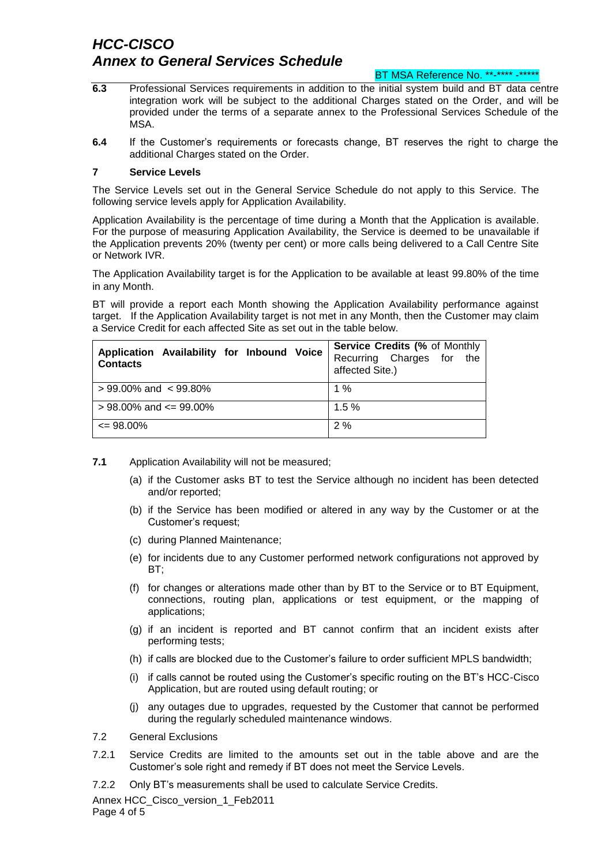#### BT MSA Reference No. \*\*-\*\*\*\* -\*\*\*\*\*

- **6.3** Professional Services requirements in addition to the initial system build and BT data centre integration work will be subject to the additional Charges stated on the Order, and will be provided under the terms of a separate annex to the Professional Services Schedule of the MSA.
- **6.4** If the Customer"s requirements or forecasts change, BT reserves the right to charge the additional Charges stated on the Order.

#### **7 Service Levels**

The Service Levels set out in the General Service Schedule do not apply to this Service. The following service levels apply for Application Availability.

Application Availability is the percentage of time during a Month that the Application is available. For the purpose of measuring Application Availability, the Service is deemed to be unavailable if the Application prevents 20% (twenty per cent) or more calls being delivered to a Call Centre Site or Network IVR.

The Application Availability target is for the Application to be available at least 99.80% of the time in any Month.

BT will provide a report each Month showing the Application Availability performance against target. If the Application Availability target is not met in any Month, then the Customer may claim a Service Credit for each affected Site as set out in the table below.

| Application Availability for Inbound Voice<br><b>Contacts</b> | <b>Service Credits (% of Monthly</b><br>Recurring Charges for the<br>affected Site.) |
|---------------------------------------------------------------|--------------------------------------------------------------------------------------|
| $> 99.00\%$ and $< 99.80\%$                                   | $1\%$                                                                                |
| $> 98.00\%$ and $\leq 99.00\%$                                | 1.5%                                                                                 |
| $\leq$ 98.00%                                                 | 2%                                                                                   |

- **7.1** Application Availability will not be measured;
	- (a) if the Customer asks BT to test the Service although no incident has been detected and/or reported;
	- (b) if the Service has been modified or altered in any way by the Customer or at the Customer"s request;
	- (c) during Planned Maintenance;
	- (e) for incidents due to any Customer performed network configurations not approved by BT;
	- (f) for changes or alterations made other than by BT to the Service or to BT Equipment, connections, routing plan, applications or test equipment, or the mapping of applications;
	- (g) if an incident is reported and BT cannot confirm that an incident exists after performing tests;
	- (h) if calls are blocked due to the Customer"s failure to order sufficient MPLS bandwidth;
	- (i) if calls cannot be routed using the Customer"s specific routing on the BT"s HCC-Cisco Application, but are routed using default routing; or
	- (j) any outages due to upgrades, requested by the Customer that cannot be performed during the regularly scheduled maintenance windows.
- 7.2 General Exclusions
- 7.2.1 Service Credits are limited to the amounts set out in the table above and are the Customer"s sole right and remedy if BT does not meet the Service Levels.
- 7.2.2 Only BT"s measurements shall be used to calculate Service Credits.

Annex HCC\_Cisco\_version\_1\_Feb2011 Page 4 of 5